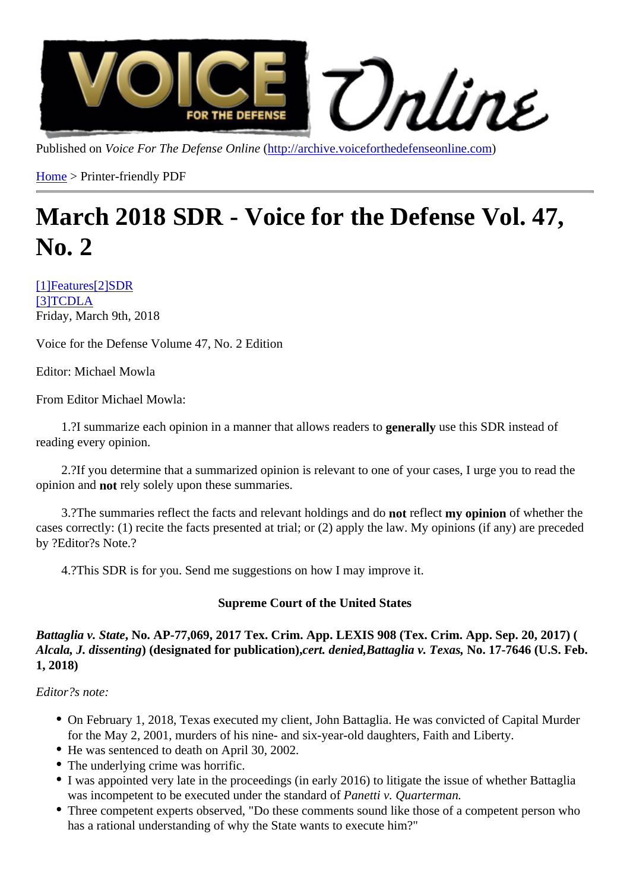Published on Voice For The Defense Onlinettp://archive.voiceforthedefenseonline.com

Home > Printer-friendly PDF

# [Ma](http://archive.voiceforthedefenseonline.com/)rch 2018 SDR - [Voice for the Defense](http://archive.voiceforthedefenseonline.com) Vol. 47, No. 2

[1]Feature[2]SDR [3]TCDLA Friday, March 9th, 2018

[Voice fo](http://archive.voiceforthedefenseonline.com/channel/1/stories)r t[he D](http://archive.voiceforthedefenseonline.com/channel/2/stories)efense Volume 47, No. 2 Edition

Editor: Michael Mowla

From Editor Michael Mowla:

1.?I summarize each opinion in a manner that allows readers to guse this SDR instead of reading every opinion.

 2.?If you determine that a summarized opinion is relevant to one of your cases, I urge you to read the opinion and not rely solely upon these summaries.

3.? The summaries reflect the facts and relevant holdings and redisct my opinion of whether the cases correctly: (1) recite the facts presented at trial; or (2) apply the law. My opinions (if any) are preceded by ?Editor?s Note.?

4.?This SDR is for you. Send me suggestions on how I may improve it.

Supreme Court of the United States

Battaglia v. StateNo. AP-77,069, 2017 Tex. Crim. App. LEXIS 908 (Tex. Crim. App. Sep. 20, 2017) ( Alcala, J. dissenting (designated for publication) cert. deniedBattaglia v. Texas, No. 17-7646 (U.S. Feb. 1, 2018)

Editor?s note:

- On February 1, 2018, Texas executed my client, John Battaglia. He was convicted of Capital Murder for the May 2, 2001, murders of his nine- and six-year-old daughters, Faith and Liberty.
- He was sentenced to death on April 30, 2002.
- The underlying crime was horrific.
- I was appointed very late in the proceedings (in early 2016) to litigate the issue of whether Battaglia was incompetent to be executed under the standard metti v. Quarterman.
- Three competent experts observed, "Do these comments sound like those of a competent person who has a rational understanding of why the State wants to execute him?"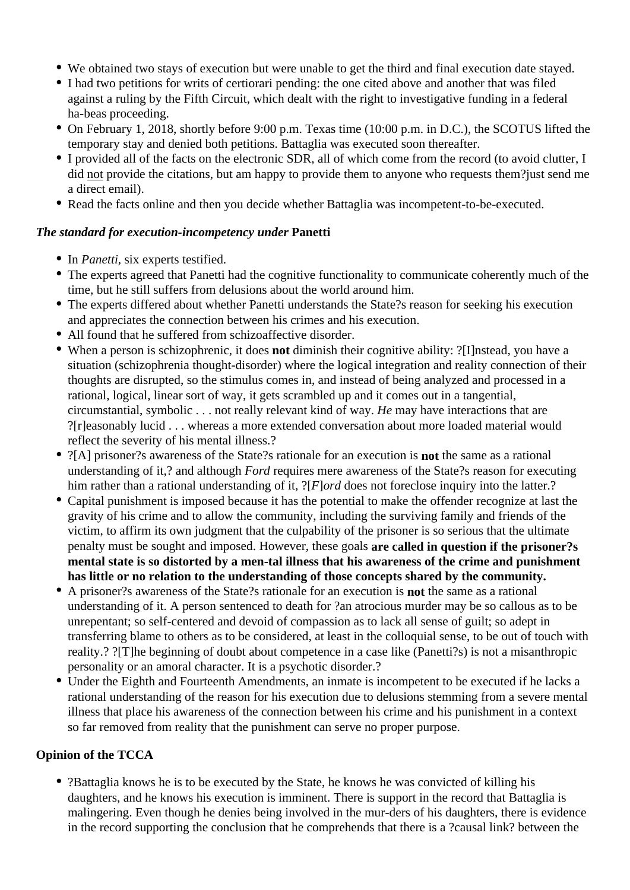- We obtained two stays of execution but were unable to get the third and final execution date stayed.
- I had two petitions for writs of certiorari pending: the one cited above and another that was filed against a ruling by the Fifth Circuit, which dealt with the right to investigative funding in a federal ha-beas proceeding.
- On February 1, 2018, shortly before 9:00 p.m. Texas time (10:00 p.m. in D.C.), the SCOTUS lifted the temporary stay and denied both petitions. Battaglia was executed soon thereafter.
- I provided all of the facts on the electronic SDR, all of which come from the record (to avoid clutter, I did not provide the citations, but am happy to provide them to anyone who requests them?just send me a direct email).
- Read the facts online and then you decide whether Battaglia was incompetent-to-be-executed.

#### *The standard for execution-incompetency under* **Panetti**

- In *Panetti*, six experts testified.
- The experts agreed that Panetti had the cognitive functionality to communicate coherently much of the time, but he still suffers from delusions about the world around him.
- The experts differed about whether Panetti understands the State?s reason for seeking his execution and appreciates the connection between his crimes and his execution.
- All found that he suffered from schizoaffective disorder.
- When a person is schizophrenic, it does **not** diminish their cognitive ability: ?[I]nstead, you have a situation (schizophrenia thought-disorder) where the logical integration and reality connection of their thoughts are disrupted, so the stimulus comes in, and instead of being analyzed and processed in a rational, logical, linear sort of way, it gets scrambled up and it comes out in a tangential, circumstantial, symbolic . . . not really relevant kind of way. *He* may have interactions that are ?[r]easonably lucid . . . whereas a more extended conversation about more loaded material would reflect the severity of his mental illness.?
- ?[A] prisoner?s awareness of the State?s rationale for an execution is **not** the same as a rational understanding of it,? and although *Ford* requires mere awareness of the State?s reason for executing him rather than a rational understanding of it, ?[*F*]*ord* does not foreclose inquiry into the latter.?
- Capital punishment is imposed because it has the potential to make the offender recognize at last the gravity of his crime and to allow the community, including the surviving family and friends of the victim, to affirm its own judgment that the culpability of the prisoner is so serious that the ultimate penalty must be sought and imposed. However, these goals **are called in question if the prisoner?s mental state is so distorted by a men-tal illness that his awareness of the crime and punishment has little or no relation to the understanding of those concepts shared by the community.**
- A prisoner?s awareness of the State?s rationale for an execution is **not** the same as a rational understanding of it. A person sentenced to death for ?an atrocious murder may be so callous as to be unrepentant; so self-centered and devoid of compassion as to lack all sense of guilt; so adept in transferring blame to others as to be considered, at least in the colloquial sense, to be out of touch with reality.? ?[T]he beginning of doubt about competence in a case like (Panetti?s) is not a misanthropic personality or an amoral character. It is a psychotic disorder.?
- Under the Eighth and Fourteenth Amendments, an inmate is incompetent to be executed if he lacks a rational understanding of the reason for his execution due to delusions stemming from a severe mental illness that place his awareness of the connection between his crime and his punishment in a context so far removed from reality that the punishment can serve no proper purpose.

## **Opinion of the TCCA**

?Battaglia knows he is to be executed by the State, he knows he was convicted of killing his daughters, and he knows his execution is imminent. There is support in the record that Battaglia is malingering. Even though he denies being involved in the mur-ders of his daughters, there is evidence in the record supporting the conclusion that he comprehends that there is a ?causal link? between the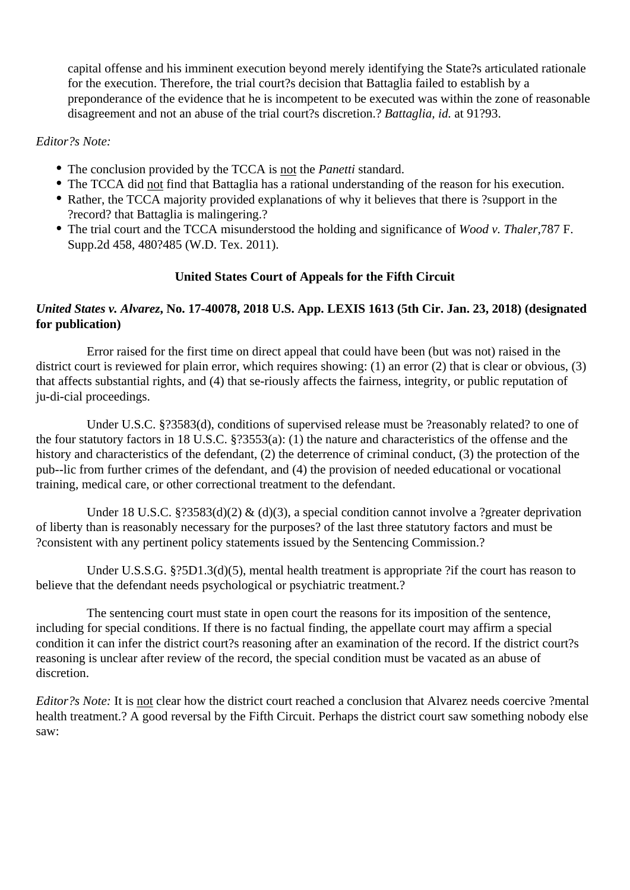capital offense and his imminent execution beyond merely identifying the State?s articulated rationale for the execution. Therefore, the trial court?s decision that Battaglia failed to establish by a preponderance of the evidence that he is incompetent to be executed was within the zone of reasonable disagreement and not an abuse of the trial court?s discretion.? *Battaglia, id.* at 91?93.

#### *Editor?s Note:*

- The conclusion provided by the TCCA is not the *Panetti* standard.
- The TCCA did not find that Battaglia has a rational understanding of the reason for his execution.
- Rather, the TCCA majority provided explanations of why it believes that there is ?support in the ?record? that Battaglia is malingering.?
- The trial court and the TCCA misunderstood the holding and significance of *Wood v. Thaler,*787 F. Supp.2d 458, 480?485 (W.D. Tex. 2011).

#### **United States Court of Appeals for the Fifth Circuit**

#### *United States v. Alvarez***, No. 17-40078, 2018 U.S. App. LEXIS 1613 (5th Cir. Jan. 23, 2018) (designated for publication)**

 Error raised for the first time on direct appeal that could have been (but was not) raised in the district court is reviewed for plain error, which requires showing: (1) an error (2) that is clear or obvious, (3) that affects substantial rights, and (4) that se-riously affects the fairness, integrity, or public reputation of ju-di-cial proceedings.

 Under U.S.C. §?3583(d), conditions of supervised release must be ?reasonably related? to one of the four statutory factors in 18 U.S.C. §?3553(a): (1) the nature and characteristics of the offense and the history and characteristics of the defendant, (2) the deterrence of criminal conduct, (3) the protection of the pub--lic from further crimes of the defendant, and (4) the provision of needed educational or vocational training, medical care, or other correctional treatment to the defendant.

Under 18 U.S.C. §?3583(d)(2) & (d)(3), a special condition cannot involve a ?greater deprivation of liberty than is reasonably necessary for the purposes? of the last three statutory factors and must be ?consistent with any pertinent policy statements issued by the Sentencing Commission.?

Under U.S.S.G. §?5D1.3(d)(5), mental health treatment is appropriate ?if the court has reason to believe that the defendant needs psychological or psychiatric treatment.?

 The sentencing court must state in open court the reasons for its imposition of the sentence, including for special conditions. If there is no factual finding, the appellate court may affirm a special condition it can infer the district court?s reasoning after an examination of the record. If the district court?s reasoning is unclear after review of the record, the special condition must be vacated as an abuse of discretion.

*Editor?s Note:* It is not clear how the district court reached a conclusion that Alvarez needs coercive ?mental health treatment.? A good reversal by the Fifth Circuit. Perhaps the district court saw something nobody else saw: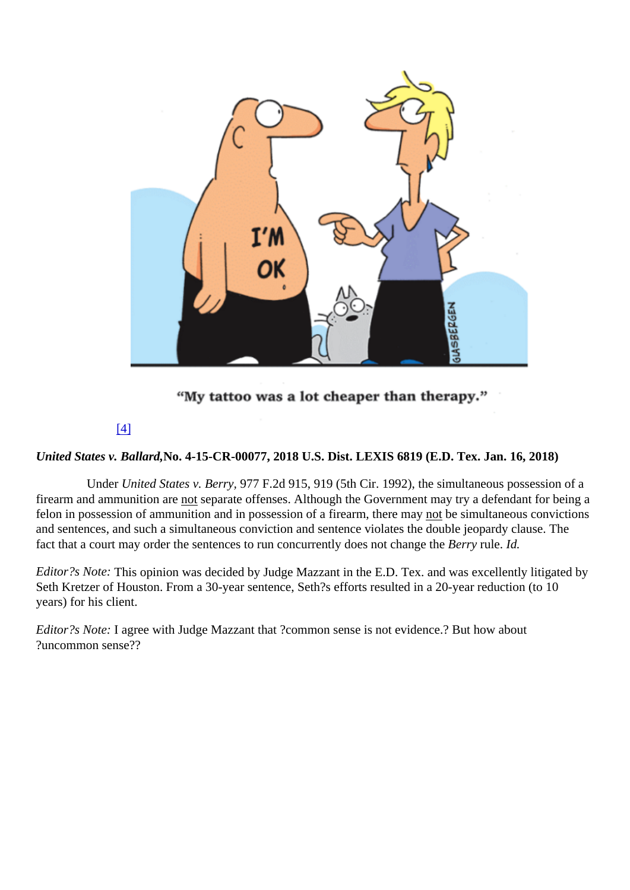## [4]

United States v. Ballard, 0. 4-15-CR-00077, 2018 U.S. Dist. LEXIS 6819 (E.D. Tex. Jan. 16, 2018)

Under United States v. Berr 877 F.2d 915, 919 (5th Cir. 1992), the simultaneous possession of a firearm and ammunition areot separate offenses. Although the Government may try a defendant for being a felon in possession of ammunition and in possession of a firearm, there the systemultaneous convictions and sentences, and such a simultaneous conviction and sentence violates the double jeopardy clause. The fact that a court may order the sentences to run concurrently does not change the Berry rule. Id.

Editor?s Note: This opinion was decided by Judge Mazzant in the E.D. Tex. and was excellently litigated by Seth Kretzer of Houston. From a 30-year sentence, Seth?s efforts resulted in a 20-year reduction (to 10 years) for his client.

Editor?s Note: agree with Judge Mazzant that ?common sense is not evidence.? But how about ?uncommon sense??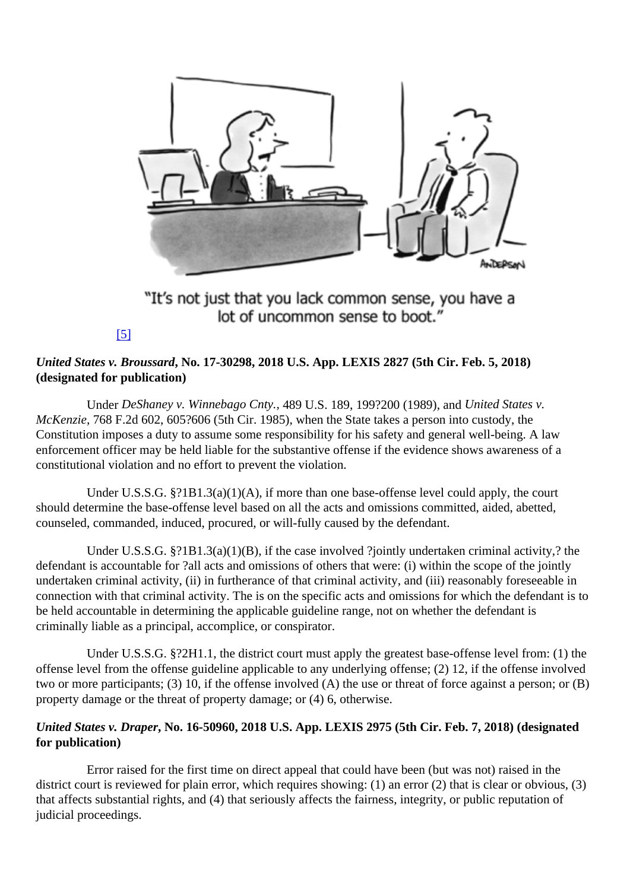## [5]

United States v. Broussar No. 17-30298, 2018 U.S. App. LEXIS 2827 (5th Cir. Feb. 5, 2018) (designated for publication)

UndeDeShaney v. Winnebago Cnt, 89 U.S. 189, 199?200 (1989), and ulted States v. McKenzie, 768 F.2d 602, 605?606 (5th Cir. 1985), when the State takes a person into custody, the Constitution imposes a duty to assume some responsibility for his safety and general well-being. A law enforcement officer may be held liable for the substantive offense if the evidence shows awareness of a constitutional violation and no effort to prevent the violation.

 Under U.S.S.G. §?1B1.3(a)(1)(A), if more than one base-offense level could apply, the court should determine the base-offense level based on all the acts and omissions committed, aided, abetted, counseled, commanded, induced, procured, or will-fully caused by the defendant.

 Under U.S.S.G. §?1B1.3(a)(1)(B), if the case involved ?jointly undertaken criminal activity,? the defendant is accountable for ?all acts and omissions of others that were: (i) within the scope of the jointly undertaken criminal activity, (ii) in furtherance of that criminal activity, and (iii) reasonably foreseeable in connection with that criminal activity. The is on the specific acts and omissions for which the defendant is to be held accountable in determining the applicable guideline range, not on whether the defendant is criminally liable as a principal, accomplice, or conspirator.

 Under U.S.S.G. §?2H1.1, the district court must apply the greatest base-offense level from: (1) the offense level from the offense guideline applicable to any underlying offense; (2) 12, if the offense involved two or more participants; (3) 10, if the offense involved (A) the use or threat of force against a person; or (B) property damage or the threat of property damage; or (4) 6, otherwise.

United States v. Drape No. 16-50960, 2018 U.S. App. LEXIS 2975 (5th Cir. Feb. 7, 2018) (designated for publication)

 Error raised for the first time on direct appeal that could have been (but was not) raised in the district court is reviewed for plain error, which requires showing: (1) an error (2) that is clear or obvious, (3) that affects substantial rights, and (4) that seriously affects the fairness, integrity, or public reputation of judicial proceedings.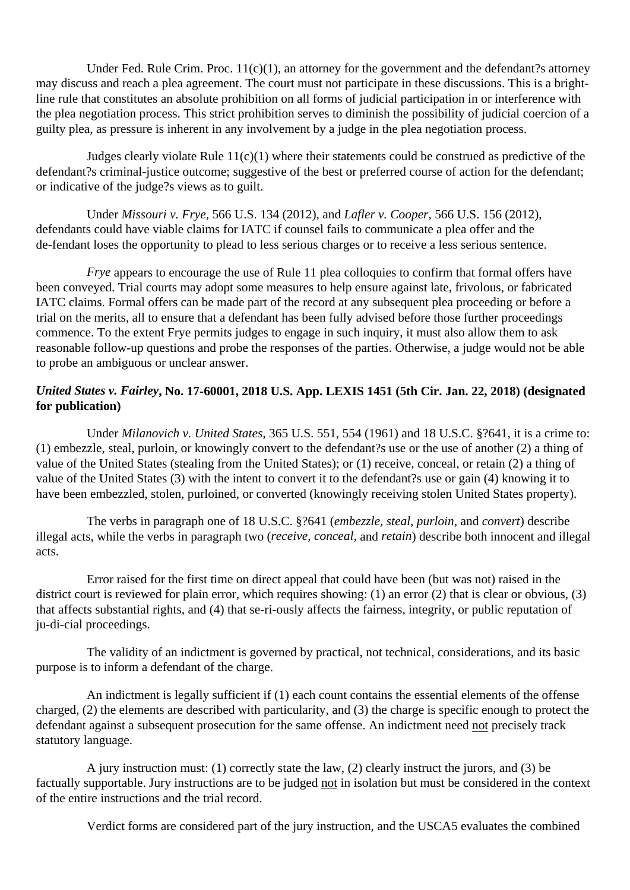Under Fed. Rule Crim. Proc.  $11(c)(1)$ , an attorney for the government and the defendant?s attorney may discuss and reach a plea agreement. The court must not participate in these discussions. This is a brightline rule that constitutes an absolute prohibition on all forms of judicial participation in or interference with the plea negotiation process. This strict prohibition serves to diminish the possibility of judicial coercion of a guilty plea, as pressure is inherent in any involvement by a judge in the plea negotiation process.

 Judges clearly violate Rule 11(c)(1) where their statements could be construed as predictive of the defendant?s criminal-justice outcome; suggestive of the best or preferred course of action for the defendant; or indicative of the judge?s views as to guilt.

 Under *Missouri v. Frye,* 566 U.S. 134 (2012), and *Lafler v. Cooper,* 566 U.S. 156 (2012), defendants could have viable claims for IATC if counsel fails to communicate a plea offer and the de-fendant loses the opportunity to plead to less serious charges or to receive a less serious sentence.

*Frye* appears to encourage the use of Rule 11 plea colloquies to confirm that formal offers have been conveyed. Trial courts may adopt some measures to help ensure against late, frivolous, or fabricated IATC claims. Formal offers can be made part of the record at any subsequent plea proceeding or before a trial on the merits, all to ensure that a defendant has been fully advised before those further proceedings commence. To the extent Frye permits judges to engage in such inquiry, it must also allow them to ask reasonable follow-up questions and probe the responses of the parties. Otherwise, a judge would not be able to probe an ambiguous or unclear answer.

#### *United States v. Fairley***, No. 17-60001, 2018 U.S. App. LEXIS 1451 (5th Cir. Jan. 22, 2018) (designated for publication)**

 Under *Milanovich v. United States,* 365 U.S. 551, 554 (1961) and 18 U.S.C. §?641, it is a crime to: (1) embezzle, steal, purloin, or knowingly convert to the defendant?s use or the use of another (2) a thing of value of the United States (stealing from the United States); or (1) receive, conceal, or retain (2) a thing of value of the United States (3) with the intent to convert it to the defendant?s use or gain (4) knowing it to have been embezzled, stolen, purloined, or converted (knowingly receiving stolen United States property).

 The verbs in paragraph one of 18 U.S.C. §?641 (*embezzle, steal, purloin,* and *convert*) describe illegal acts, while the verbs in paragraph two (*receive, conceal,* and *retain*) describe both innocent and illegal acts.

 Error raised for the first time on direct appeal that could have been (but was not) raised in the district court is reviewed for plain error, which requires showing: (1) an error (2) that is clear or obvious, (3) that affects substantial rights, and (4) that se-ri-ously affects the fairness, integrity, or public reputation of ju-di-cial proceedings.

 The validity of an indictment is governed by practical, not technical, considerations, and its basic purpose is to inform a defendant of the charge.

 An indictment is legally sufficient if (1) each count contains the essential elements of the offense charged, (2) the elements are described with particularity, and (3) the charge is specific enough to protect the defendant against a subsequent prosecution for the same offense. An indictment need not precisely track statutory language.

 A jury instruction must: (1) correctly state the law, (2) clearly instruct the jurors, and (3) be factually supportable. Jury instructions are to be judged not in isolation but must be considered in the context of the entire instructions and the trial record.

Verdict forms are considered part of the jury instruction, and the USCA5 evaluates the combined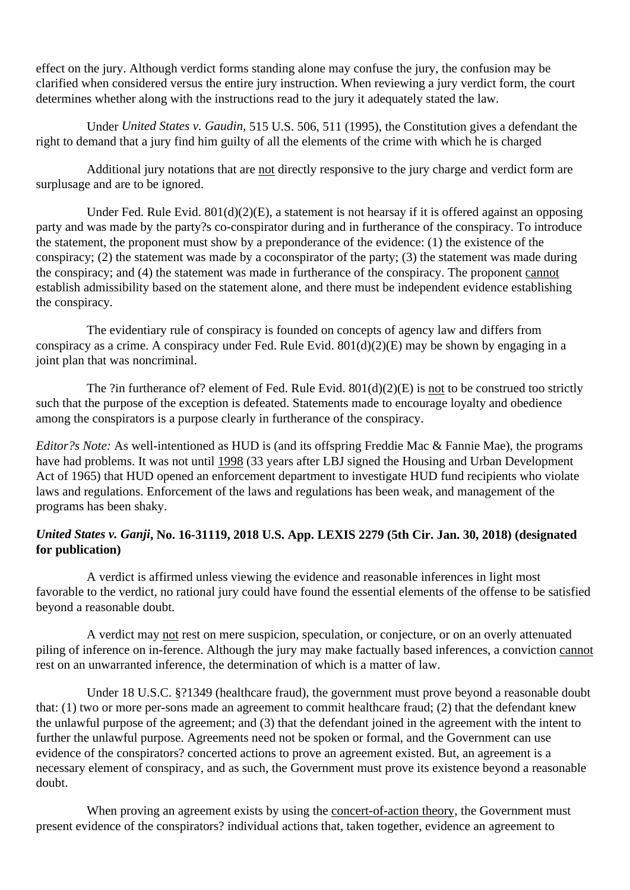effect on the jury. Although verdict forms standing alone may confuse the jury, the confusion may be clarified when considered versus the entire jury instruction. When reviewing a jury verdict form, the court determines whether along with the instructions read to the jury it adequately stated the law.

 Under *United States v. Gaudin,* 515 U.S. 506, 511 (1995), the Constitution gives a defendant the right to demand that a jury find him guilty of all the elements of the crime with which he is charged

 Additional jury notations that are not directly responsive to the jury charge and verdict form are surplusage and are to be ignored.

 Under Fed. Rule Evid. 801(d)(2)(E), a statement is not hearsay if it is offered against an opposing party and was made by the party?s co-conspirator during and in furtherance of the conspiracy. To introduce the statement, the proponent must show by a preponderance of the evidence: (1) the existence of the conspiracy; (2) the statement was made by a coconspirator of the party; (3) the statement was made during the conspiracy; and (4) the statement was made in furtherance of the conspiracy. The proponent cannot establish admissibility based on the statement alone, and there must be independent evidence establishing the conspiracy.

 The evidentiary rule of conspiracy is founded on concepts of agency law and differs from conspiracy as a crime. A conspiracy under Fed. Rule Evid. 801(d)(2)(E) may be shown by engaging in a joint plan that was noncriminal.

 The ?in furtherance of? element of Fed. Rule Evid. 801(d)(2)(E) is not to be construed too strictly such that the purpose of the exception is defeated. Statements made to encourage loyalty and obedience among the conspirators is a purpose clearly in furtherance of the conspiracy.

*Editor?s Note:* As well-intentioned as HUD is (and its offspring Freddie Mac & Fannie Mae), the programs have had problems. It was not until 1998 (33 years after LBJ signed the Housing and Urban Development Act of 1965) that HUD opened an enforcement department to investigate HUD fund recipients who violate laws and regulations. Enforcement of the laws and regulations has been weak, and management of the programs has been shaky.

#### *United States v. Ganji***, No. 16-31119, 2018 U.S. App. LEXIS 2279 (5th Cir. Jan. 30, 2018) (designated for publication)**

 A verdict is affirmed unless viewing the evidence and reasonable inferences in light most favorable to the verdict, no rational jury could have found the essential elements of the offense to be satisfied beyond a reasonable doubt.

 A verdict may not rest on mere suspicion, speculation, or conjecture, or on an overly attenuated piling of inference on in-ference. Although the jury may make factually based inferences, a conviction cannot rest on an unwarranted inference, the determination of which is a matter of law.

 Under 18 U.S.C. §?1349 (healthcare fraud), the government must prove beyond a reasonable doubt that: (1) two or more per-sons made an agreement to commit healthcare fraud; (2) that the defendant knew the unlawful purpose of the agreement; and (3) that the defendant joined in the agreement with the intent to further the unlawful purpose. Agreements need not be spoken or formal, and the Government can use evidence of the conspirators? concerted actions to prove an agreement existed. But, an agreement is a necessary element of conspiracy, and as such, the Government must prove its existence beyond a reasonable doubt.

 When proving an agreement exists by using the concert-of-action theory, the Government must present evidence of the conspirators? individual actions that, taken together, evidence an agreement to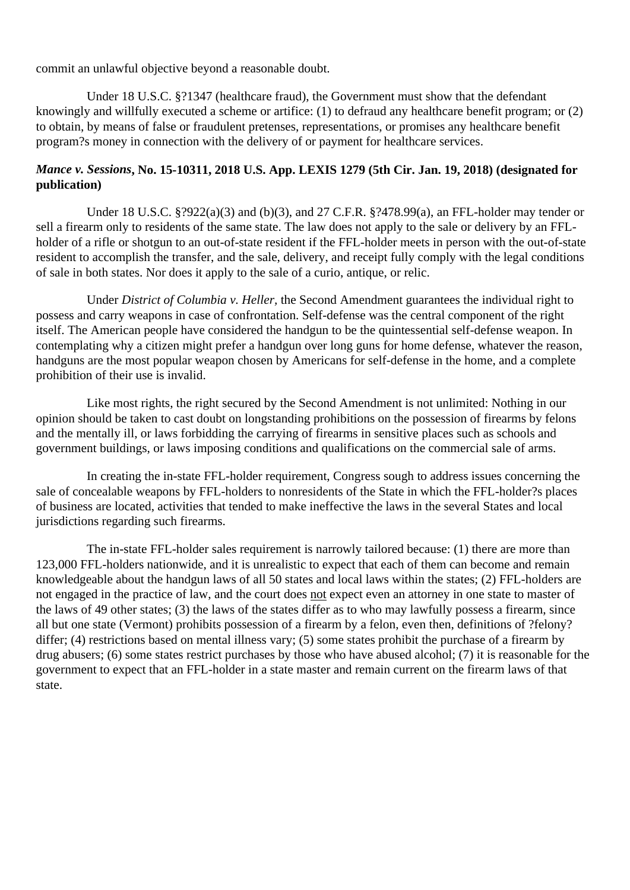commit an unlawful objective beyond a reasonable doubt.

 Under 18 U.S.C. §?1347 (healthcare fraud), the Government must show that the defendant knowingly and willfully executed a scheme or artifice: (1) to defraud any healthcare benefit program; or (2) to obtain, by means of false or fraudulent pretenses, representations, or promises any healthcare benefit program?s money in connection with the delivery of or payment for healthcare services.

#### *Mance v. Sessions***, No. 15-10311, 2018 U.S. App. LEXIS 1279 (5th Cir. Jan. 19, 2018) (designated for publication)**

 Under 18 U.S.C. §?922(a)(3) and (b)(3), and 27 C.F.R. §?478.99(a), an FFL-holder may tender or sell a firearm only to residents of the same state. The law does not apply to the sale or delivery by an FFLholder of a rifle or shotgun to an out-of-state resident if the FFL-holder meets in person with the out-of-state resident to accomplish the transfer, and the sale, delivery, and receipt fully comply with the legal conditions of sale in both states. Nor does it apply to the sale of a curio, antique, or relic.

 Under *District of Columbia v. Heller,* the Second Amendment guarantees the individual right to possess and carry weapons in case of confrontation. Self-defense was the central component of the right itself. The American people have considered the handgun to be the quintessential self-defense weapon. In contemplating why a citizen might prefer a handgun over long guns for home defense, whatever the reason, handguns are the most popular weapon chosen by Americans for self-defense in the home, and a complete prohibition of their use is invalid.

 Like most rights, the right secured by the Second Amendment is not unlimited: Nothing in our opinion should be taken to cast doubt on longstanding prohibitions on the possession of firearms by felons and the mentally ill, or laws forbidding the carrying of firearms in sensitive places such as schools and government buildings, or laws imposing conditions and qualifications on the commercial sale of arms.

 In creating the in-state FFL-holder requirement, Congress sough to address issues concerning the sale of concealable weapons by FFL-holders to nonresidents of the State in which the FFL-holder?s places of business are located, activities that tended to make ineffective the laws in the several States and local jurisdictions regarding such firearms.

 The in-state FFL-holder sales requirement is narrowly tailored because: (1) there are more than 123,000 FFL-holders nationwide, and it is unrealistic to expect that each of them can become and remain knowledgeable about the handgun laws of all 50 states and local laws within the states; (2) FFL-holders are not engaged in the practice of law, and the court does not expect even an attorney in one state to master of the laws of 49 other states; (3) the laws of the states differ as to who may lawfully possess a firearm, since all but one state (Vermont) prohibits possession of a firearm by a felon, even then, definitions of ?felony? differ; (4) restrictions based on mental illness vary; (5) some states prohibit the purchase of a firearm by drug abusers; (6) some states restrict purchases by those who have abused alcohol; (7) it is reasonable for the government to expect that an FFL-holder in a state master and remain current on the firearm laws of that state.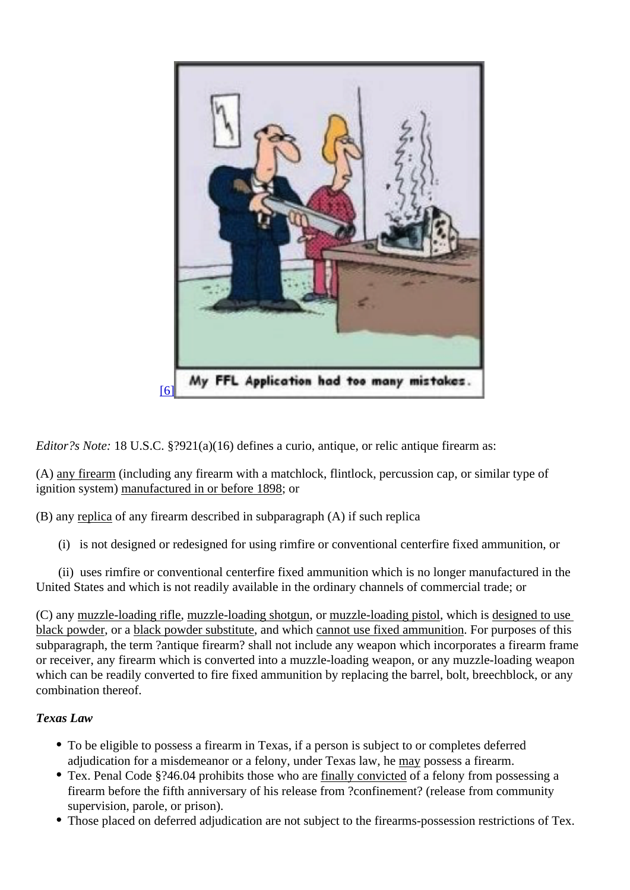## [6]

Editor?s Note: 18 U.S.[C. §?921\(a\)\(16\) defines a curio, antique, or relic antique](http://archive.voiceforthedefenseonline.com/image/march-2018-sdr-3) firearm as:

(A) any firearm (including any firearm with a matchlock, flintlock, percussion cap, or similar type of ignition system) manufactured in or before 1898

(B) any replica of any firearm described in subparagraph (A) if such replica

(i) is not designed or redesigned for using rimfire or conventional centerfire fixed ammunition, or

 (ii) uses rimfire or conventional centerfire fixed ammunition which is no longer manufactured in the United States and which is not readily available in the ordinary channels of commercial trade; or

(C) any muzzle-loading riflemuzzle-loading shotgure muzzle-loading pistol which is designed to use black powder or ablack powder substitutend which cannot use fixed ammunition for purposes of this subparagraph, the term ?antique firearm? shall not include any weapon which incorporates a firearm frame or receiver, any firearm which is converted into a muzzle-loading weapon, or any muzzle-loading weapon which can be readily converted to fire fixed ammunition by replacing the barrel, bolt, breechblock, or any combination thereof.

Texas Law

- To be eligible to possess a firearm in Texas, if a person is subject to or completes deferred adjudication for a misdemeanor or a felony, under Texas lama we ossess a firearm.
- Tex. Penal Code §?46.04 prohibits those who are finally convicted of a felony from possessing a firearm before the fifth anniversary of his release from ?confinement? (release from community supervision, parole, or prison).
- Those placed on deferred adjudication are not subject to the firearms-possession restrictions of Tex.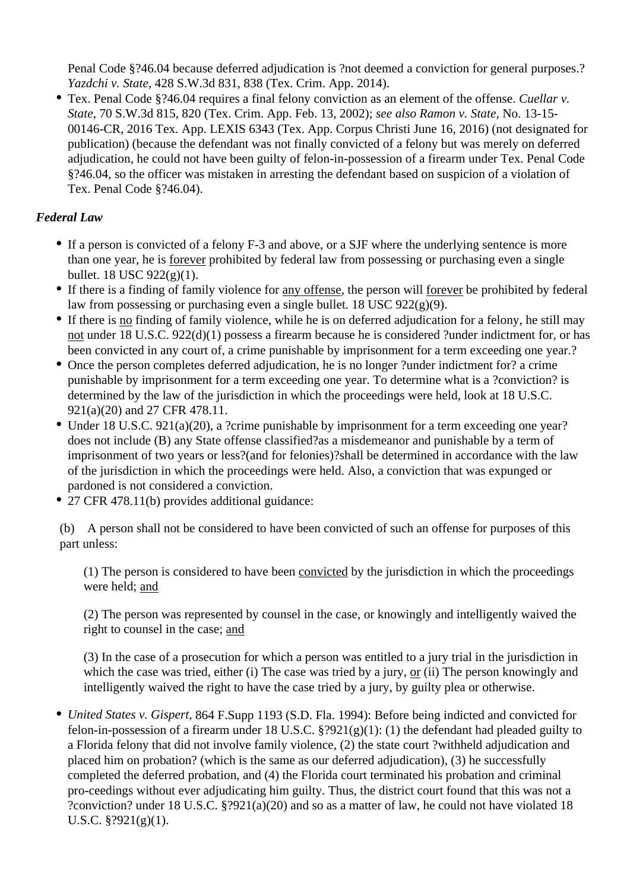Penal Code §?46.04 because deferred adjudication is ?not deemed a conviction for general purposes.? *Yazdchi v. State,* 428 S.W.3d 831, 838 (Tex. Crim. App. 2014).

Tex. Penal Code §?46.04 requires a final felony conviction as an element of the offense. *Cuellar v. State,* 70 S.W.3d 815, 820 (Tex. Crim. App. Feb. 13, 2002); *see also Ramon v. State,* No. 13-15- 00146-CR, 2016 Tex. App. LEXIS 6343 (Tex. App. Corpus Christi June 16, 2016) (not designated for publication) (because the defendant was not finally convicted of a felony but was merely on deferred adjudication, he could not have been guilty of felon-in-possession of a firearm under Tex. Penal Code §?46.04, so the officer was mistaken in arresting the defendant based on suspicion of a violation of Tex. Penal Code §?46.04).

## *Federal Law*

- If a person is convicted of a felony F-3 and above, or a SJF where the underlying sentence is more than one year, he is forever prohibited by federal law from possessing or purchasing even a single bullet. 18 USC 922(g)(1).
- If there is a finding of family violence for any offense, the person will forever be prohibited by federal law from possessing or purchasing even a single bullet. 18 USC 922(g)(9).
- If there is no finding of family violence, while he is on deferred adjudication for a felony, he still may not under 18 U.S.C. 922(d)(1) possess a firearm because he is considered ?under indictment for, or has been convicted in any court of, a crime punishable by imprisonment for a term exceeding one year.?
- Once the person completes deferred adjudication, he is no longer ?under indictment for? a crime punishable by imprisonment for a term exceeding one year. To determine what is a ?conviction? is determined by the law of the jurisdiction in which the proceedings were held, look at 18 U.S.C. 921(a)(20) and 27 CFR 478.11.
- Under 18 U.S.C. 921(a)(20), a ?crime punishable by imprisonment for a term exceeding one year? does not include (B) any State offense classified?as a misdemeanor and punishable by a term of imprisonment of two years or less?(and for felonies)?shall be determined in accordance with the law of the jurisdiction in which the proceedings were held. Also, a conviction that was expunged or pardoned is not considered a conviction.
- 27 CFR 478.11(b) provides additional guidance:

(b) A person shall not be considered to have been convicted of such an offense for purposes of this part unless:

(1) The person is considered to have been convicted by the jurisdiction in which the proceedings were held; and

(2) The person was represented by counsel in the case, or knowingly and intelligently waived the right to counsel in the case; and

(3) In the case of a prosecution for which a person was entitled to a jury trial in the jurisdiction in which the case was tried, either (i) The case was tried by a jury, or (ii) The person knowingly and intelligently waived the right to have the case tried by a jury, by guilty plea or otherwise.

*United States v. Gispert,* 864 F.Supp 1193 (S.D. Fla. 1994): Before being indicted and convicted for felon-in-possession of a firearm under 18 U.S.C.  $\S$ ?921(g)(1): (1) the defendant had pleaded guilty to a Florida felony that did not involve family violence, (2) the state court ?withheld adjudication and placed him on probation? (which is the same as our deferred adjudication), (3) he successfully completed the deferred probation, and (4) the Florida court terminated his probation and criminal pro-ceedings without ever adjudicating him guilty. Thus, the district court found that this was not a ?conviction? under 18 U.S.C. §?921(a)(20) and so as a matter of law, he could not have violated 18 U.S.C.  $\frac{8}{9}$ ?921(g)(1).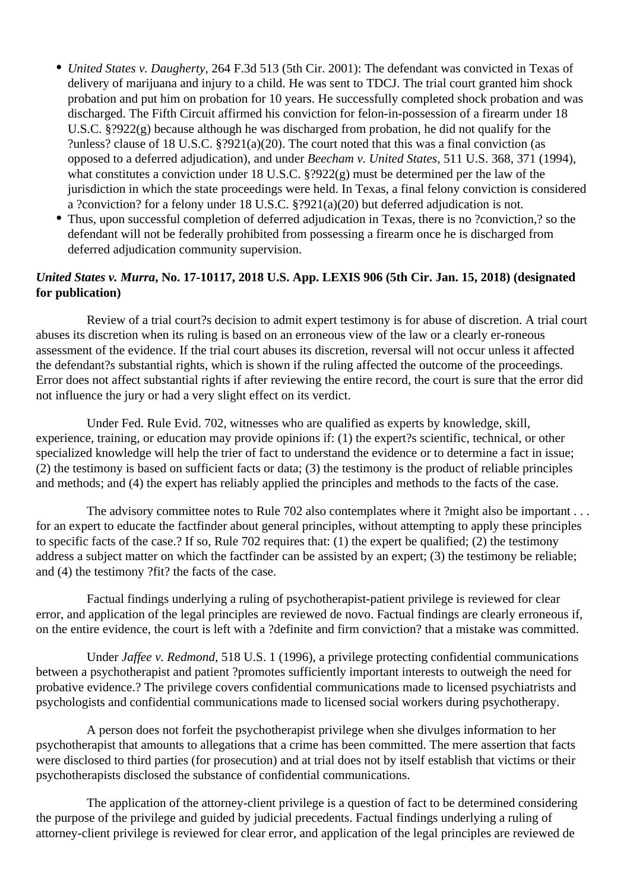- *United States v. Daugherty,* 264 F.3d 513 (5th Cir. 2001): The defendant was convicted in Texas of delivery of marijuana and injury to a child. He was sent to TDCJ. The trial court granted him shock probation and put him on probation for 10 years. He successfully completed shock probation and was discharged. The Fifth Circuit affirmed his conviction for felon-in-possession of a firearm under 18 U.S.C. §?922(g) because although he was discharged from probation, he did not qualify for the ?unless? clause of 18 U.S.C. §?921(a)(20). The court noted that this was a final conviction (as opposed to a deferred adjudication), and under *Beecham v. United States,* 511 U.S. 368, 371 (1994), what constitutes a conviction under 18 U.S.C. §?922(g) must be determined per the law of the jurisdiction in which the state proceedings were held. In Texas, a final felony conviction is considered a ?conviction? for a felony under 18 U.S.C. §?921(a)(20) but deferred adjudication is not.
- Thus, upon successful completion of deferred adjudication in Texas, there is no ?conviction,? so the defendant will not be federally prohibited from possessing a firearm once he is discharged from deferred adjudication community supervision.

#### *United States v. Murra***, No. 17-10117, 2018 U.S. App. LEXIS 906 (5th Cir. Jan. 15, 2018) (designated for publication)**

 Review of a trial court?s decision to admit expert testimony is for abuse of discretion. A trial court abuses its discretion when its ruling is based on an erroneous view of the law or a clearly er-roneous assessment of the evidence. If the trial court abuses its discretion, reversal will not occur unless it affected the defendant?s substantial rights, which is shown if the ruling affected the outcome of the proceedings. Error does not affect substantial rights if after reviewing the entire record, the court is sure that the error did not influence the jury or had a very slight effect on its verdict.

 Under Fed. Rule Evid. 702, witnesses who are qualified as experts by knowledge, skill, experience, training, or education may provide opinions if: (1) the expert?s scientific, technical, or other specialized knowledge will help the trier of fact to understand the evidence or to determine a fact in issue; (2) the testimony is based on sufficient facts or data; (3) the testimony is the product of reliable principles and methods; and (4) the expert has reliably applied the principles and methods to the facts of the case.

The advisory committee notes to Rule 702 also contemplates where it ?might also be important . . . for an expert to educate the factfinder about general principles, without attempting to apply these principles to specific facts of the case.? If so, Rule 702 requires that: (1) the expert be qualified; (2) the testimony address a subject matter on which the factfinder can be assisted by an expert; (3) the testimony be reliable; and (4) the testimony ?fit? the facts of the case.

 Factual findings underlying a ruling of psychotherapist-patient privilege is reviewed for clear error, and application of the legal principles are reviewed de novo. Factual findings are clearly erroneous if, on the entire evidence, the court is left with a ?definite and firm conviction? that a mistake was committed.

 Under *Jaffee v. Redmond,* 518 U.S. 1 (1996), a privilege protecting confidential communications between a psychotherapist and patient ?promotes sufficiently important interests to outweigh the need for probative evidence.? The privilege covers confidential communications made to licensed psychiatrists and psychologists and confidential communications made to licensed social workers during psychotherapy.

 A person does not forfeit the psychotherapist privilege when she divulges information to her psychotherapist that amounts to allegations that a crime has been committed. The mere assertion that facts were disclosed to third parties (for prosecution) and at trial does not by itself establish that victims or their psychotherapists disclosed the substance of confidential communications.

 The application of the attorney-client privilege is a question of fact to be determined considering the purpose of the privilege and guided by judicial precedents. Factual findings underlying a ruling of attorney-client privilege is reviewed for clear error, and application of the legal principles are reviewed de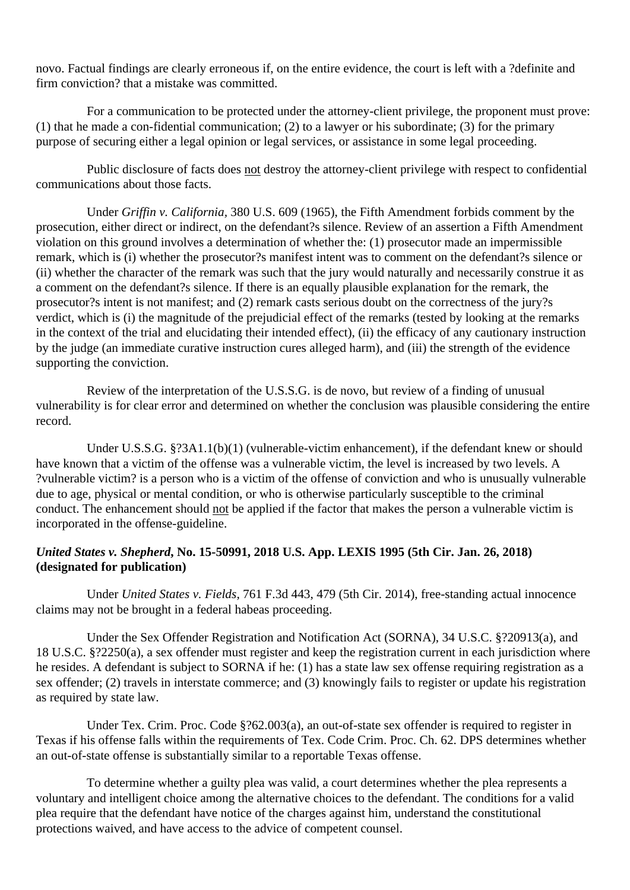novo. Factual findings are clearly erroneous if, on the entire evidence, the court is left with a ?definite and firm conviction? that a mistake was committed.

 For a communication to be protected under the attorney-client privilege, the proponent must prove: (1) that he made a con-fidential communication; (2) to a lawyer or his subordinate; (3) for the primary purpose of securing either a legal opinion or legal services, or assistance in some legal proceeding.

 Public disclosure of facts does not destroy the attorney-client privilege with respect to confidential communications about those facts.

 Under *Griffin v. California,* 380 U.S. 609 (1965), the Fifth Amendment forbids comment by the prosecution, either direct or indirect, on the defendant?s silence. Review of an assertion a Fifth Amendment violation on this ground involves a determination of whether the: (1) prosecutor made an impermissible remark, which is (i) whether the prosecutor?s manifest intent was to comment on the defendant?s silence or (ii) whether the character of the remark was such that the jury would naturally and necessarily construe it as a comment on the defendant?s silence. If there is an equally plausible explanation for the remark, the prosecutor?s intent is not manifest; and (2) remark casts serious doubt on the correctness of the jury?s verdict, which is (i) the magnitude of the prejudicial effect of the remarks (tested by looking at the remarks in the context of the trial and elucidating their intended effect), (ii) the efficacy of any cautionary instruction by the judge (an immediate curative instruction cures alleged harm), and (iii) the strength of the evidence supporting the conviction.

 Review of the interpretation of the U.S.S.G. is de novo, but review of a finding of unusual vulnerability is for clear error and determined on whether the conclusion was plausible considering the entire record.

Under U.S.S.G. §?3A1.1(b)(1) (vulnerable-victim enhancement), if the defendant knew or should have known that a victim of the offense was a vulnerable victim, the level is increased by two levels. A ?vulnerable victim? is a person who is a victim of the offense of conviction and who is unusually vulnerable due to age, physical or mental condition, or who is otherwise particularly susceptible to the criminal conduct. The enhancement should not be applied if the factor that makes the person a vulnerable victim is incorporated in the offense-guideline.

#### *United States v. Shepherd***, No. 15-50991, 2018 U.S. App. LEXIS 1995 (5th Cir. Jan. 26, 2018) (designated for publication)**

 Under *United States v. Fields,* 761 F.3d 443, 479 (5th Cir. 2014), free-standing actual innocence claims may not be brought in a federal habeas proceeding.

 Under the Sex Offender Registration and Notification Act (SORNA), 34 U.S.C. §?20913(a), and 18 U.S.C. §?2250(a), a sex offender must register and keep the registration current in each jurisdiction where he resides. A defendant is subject to SORNA if he: (1) has a state law sex offense requiring registration as a sex offender; (2) travels in interstate commerce; and (3) knowingly fails to register or update his registration as required by state law.

 Under Tex. Crim. Proc. Code §?62.003(a), an out-of-state sex offender is required to register in Texas if his offense falls within the requirements of Tex. Code Crim. Proc. Ch. 62. DPS determines whether an out-of-state offense is substantially similar to a reportable Texas offense.

 To determine whether a guilty plea was valid, a court determines whether the plea represents a voluntary and intelligent choice among the alternative choices to the defendant. The conditions for a valid plea require that the defendant have notice of the charges against him, understand the constitutional protections waived, and have access to the advice of competent counsel.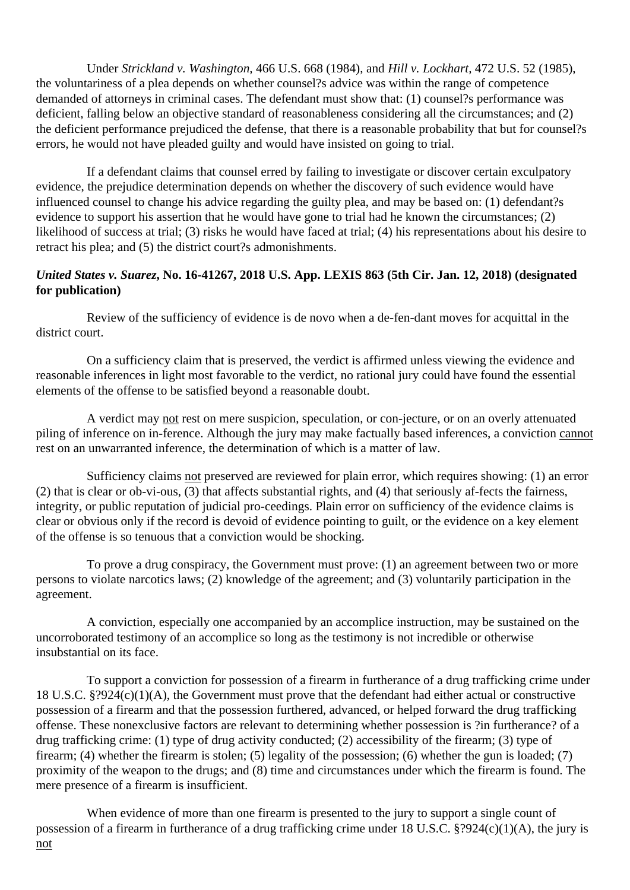Under *Strickland v. Washington,* 466 U.S. 668 (1984), and *Hill v. Lockhart,* 472 U.S. 52 (1985), the voluntariness of a plea depends on whether counsel?s advice was within the range of competence demanded of attorneys in criminal cases. The defendant must show that: (1) counsel?s performance was deficient, falling below an objective standard of reasonableness considering all the circumstances; and (2) the deficient performance prejudiced the defense, that there is a reasonable probability that but for counsel?s errors, he would not have pleaded guilty and would have insisted on going to trial.

 If a defendant claims that counsel erred by failing to investigate or discover certain exculpatory evidence, the prejudice determination depends on whether the discovery of such evidence would have influenced counsel to change his advice regarding the guilty plea, and may be based on: (1) defendant?s evidence to support his assertion that he would have gone to trial had he known the circumstances; (2) likelihood of success at trial; (3) risks he would have faced at trial; (4) his representations about his desire to retract his plea; and (5) the district court?s admonishments.

#### *United States v. Suarez***, No. 16-41267, 2018 U.S. App. LEXIS 863 (5th Cir. Jan. 12, 2018) (designated for publication)**

 Review of the sufficiency of evidence is de novo when a de-fen-dant moves for acquittal in the district court.

 On a sufficiency claim that is preserved, the verdict is affirmed unless viewing the evidence and reasonable inferences in light most favorable to the verdict, no rational jury could have found the essential elements of the offense to be satisfied beyond a reasonable doubt.

 A verdict may not rest on mere suspicion, speculation, or con-jecture, or on an overly attenuated piling of inference on in-ference. Although the jury may make factually based inferences, a conviction cannot rest on an unwarranted inference, the determination of which is a matter of law.

 Sufficiency claims not preserved are reviewed for plain error, which requires showing: (1) an error (2) that is clear or ob-vi-ous, (3) that affects substantial rights, and (4) that seriously af-fects the fairness, integrity, or public reputation of judicial pro-ceedings. Plain error on sufficiency of the evidence claims is clear or obvious only if the record is devoid of evidence pointing to guilt, or the evidence on a key element of the offense is so tenuous that a conviction would be shocking.

 To prove a drug conspiracy, the Government must prove: (1) an agreement between two or more persons to violate narcotics laws; (2) knowledge of the agreement; and (3) voluntarily participation in the agreement.

 A conviction, especially one accompanied by an accomplice instruction, may be sustained on the uncorroborated testimony of an accomplice so long as the testimony is not incredible or otherwise insubstantial on its face.

 To support a conviction for possession of a firearm in furtherance of a drug trafficking crime under 18 U.S.C. §?924(c)(1)(A), the Government must prove that the defendant had either actual or constructive possession of a firearm and that the possession furthered, advanced, or helped forward the drug trafficking offense. These nonexclusive factors are relevant to determining whether possession is ?in furtherance? of a drug trafficking crime: (1) type of drug activity conducted; (2) accessibility of the firearm; (3) type of firearm; (4) whether the firearm is stolen; (5) legality of the possession; (6) whether the gun is loaded; (7) proximity of the weapon to the drugs; and (8) time and circumstances under which the firearm is found. The mere presence of a firearm is insufficient.

When evidence of more than one firearm is presented to the jury to support a single count of possession of a firearm in furtherance of a drug trafficking crime under 18 U.S.C. §?924(c)(1)(A), the jury is not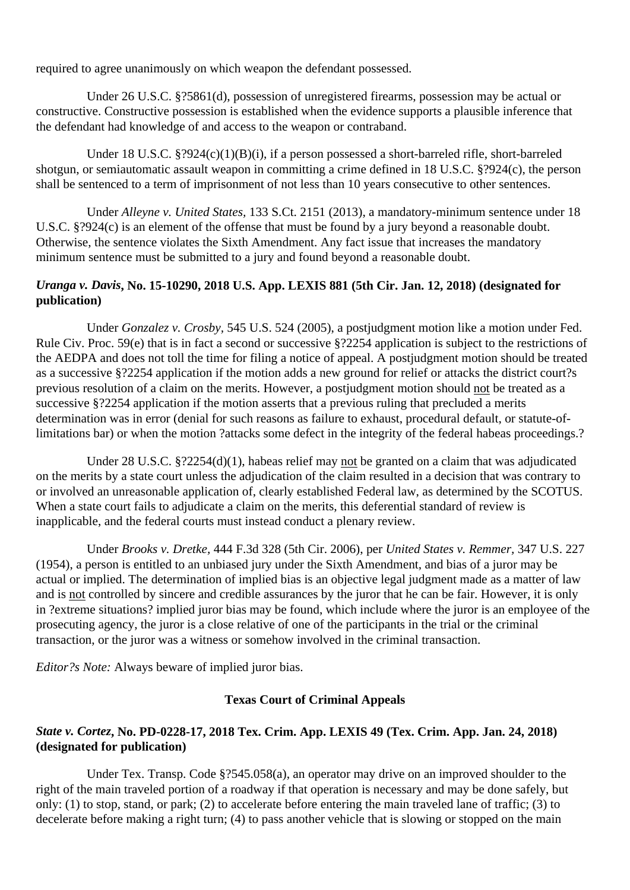required to agree unanimously on which weapon the defendant possessed.

 Under 26 U.S.C. §?5861(d), possession of unregistered firearms, possession may be actual or constructive. Constructive possession is established when the evidence supports a plausible inference that the defendant had knowledge of and access to the weapon or contraband.

Under 18 U.S.C. §?924(c)(1)(B)(i), if a person possessed a short-barreled rifle, short-barreled shotgun, or semiautomatic assault weapon in committing a crime defined in 18 U.S.C. §?924(c), the person shall be sentenced to a term of imprisonment of not less than 10 years consecutive to other sentences.

 Under *Alleyne v. United States,* 133 S.Ct. 2151 (2013), a mandatory-minimum sentence under 18 U.S.C. §?924(c) is an element of the offense that must be found by a jury beyond a reasonable doubt. Otherwise, the sentence violates the Sixth Amendment. Any fact issue that increases the mandatory minimum sentence must be submitted to a jury and found beyond a reasonable doubt.

#### *Uranga v. Davis***, No. 15-10290, 2018 U.S. App. LEXIS 881 (5th Cir. Jan. 12, 2018) (designated for publication)**

 Under *Gonzalez v. Crosby,* 545 U.S. 524 (2005), a postjudgment motion like a motion under Fed. Rule Civ. Proc. 59(e) that is in fact a second or successive §?2254 application is subject to the restrictions of the AEDPA and does not toll the time for filing a notice of appeal. A postjudgment motion should be treated as a successive §?2254 application if the motion adds a new ground for relief or attacks the district court?s previous resolution of a claim on the merits. However, a postjudgment motion should not be treated as a successive §?2254 application if the motion asserts that a previous ruling that precluded a merits determination was in error (denial for such reasons as failure to exhaust, procedural default, or statute-oflimitations bar) or when the motion ?attacks some defect in the integrity of the federal habeas proceedings.?

 Under 28 U.S.C. §?2254(d)(1), habeas relief may not be granted on a claim that was adjudicated on the merits by a state court unless the adjudication of the claim resulted in a decision that was contrary to or involved an unreasonable application of, clearly established Federal law, as determined by the SCOTUS. When a state court fails to adjudicate a claim on the merits, this deferential standard of review is inapplicable, and the federal courts must instead conduct a plenary review.

 Under *Brooks v. Dretke,* 444 F.3d 328 (5th Cir. 2006), per *United States v. Remmer,* 347 U.S. 227 (1954), a person is entitled to an unbiased jury under the Sixth Amendment, and bias of a juror may be actual or implied. The determination of implied bias is an objective legal judgment made as a matter of law and is not controlled by sincere and credible assurances by the juror that he can be fair. However, it is only in ?extreme situations? implied juror bias may be found, which include where the juror is an employee of the prosecuting agency, the juror is a close relative of one of the participants in the trial or the criminal transaction, or the juror was a witness or somehow involved in the criminal transaction.

*Editor?s Note:* Always beware of implied juror bias.

#### **Texas Court of Criminal Appeals**

#### *State v. Cortez***, No. PD-0228-17, 2018 Tex. Crim. App. LEXIS 49 (Tex. Crim. App. Jan. 24, 2018) (designated for publication)**

 Under Tex. Transp. Code §?545.058(a), an operator may drive on an improved shoulder to the right of the main traveled portion of a roadway if that operation is necessary and may be done safely, but only: (1) to stop, stand, or park; (2) to accelerate before entering the main traveled lane of traffic; (3) to decelerate before making a right turn; (4) to pass another vehicle that is slowing or stopped on the main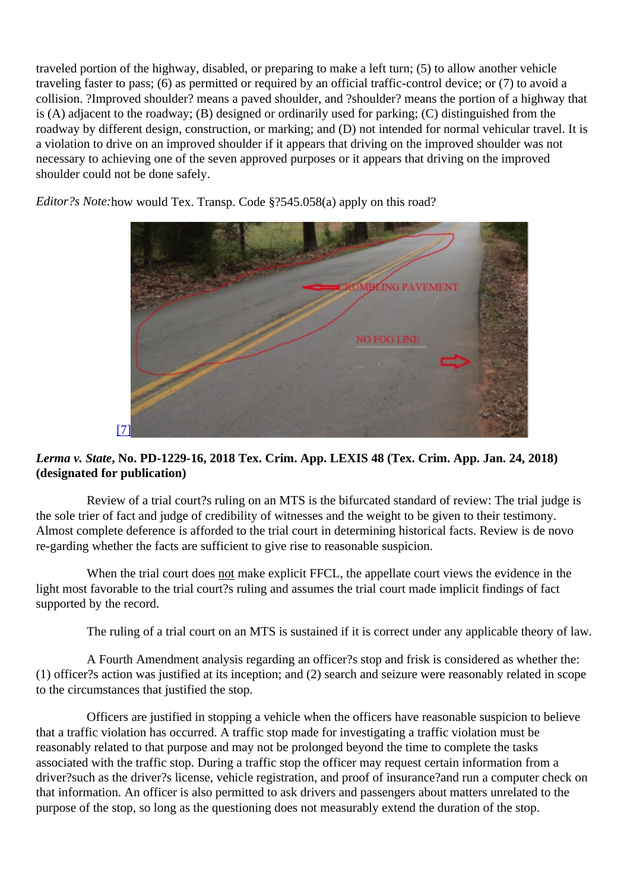traveled portion of the highway, disabled, or preparing to make a left turn; (5) to allow another vehicle traveling faster to pass; (6) as permitted or required by an official traffic-control device; or (7) to avoid a collision. ?Improved shoulder? means a paved shoulder, and ?shoulder? means the portion of a highway that is (A) adjacent to the roadway; (B) designed or ordinarily used for parking; (C) distinguished from the roadway by different design, construction, or marking; and (D) not intended for normal vehicular travel. It is a violation to drive on an improved shoulder if it appears that driving on the improved shoulder was not necessary to achieving one of the seven approved purposes or it appears that driving on the improved shoulder could not be done safely.

Editor?s Notehow would Tex. Transp. Code §?545.058(a) apply on this road?

## [7]

L[e](http://archive.voiceforthedefenseonline.com/image/march-2018-sdr-4)rma v. StateNo. PD-1229-16, 2018 Tex. Crim. App. LEXIS 48 (Tex. Crim. App. Jan. 24, 2018) (designated for publication)

 Review of a trial court?s ruling on an MTS is the bifurcated standard of review: The trial judge is the sole trier of fact and judge of credibility of witnesses and the weight to be given to their testimony. Almost complete deference is afforded to the trial court in determining historical facts. Review is de novo re-garding whether the facts are sufficient to give rise to reasonable suspicion.

When the trial court doest make explicit FFCL, the appellate court views the evidence in the light most favorable to the trial court?s ruling and assumes the trial court made implicit findings of fact supported by the record.

The ruling of a trial court on an MTS is sustained if it is correct under any applicable theory of law.

 A Fourth Amendment analysis regarding an officer?s stop and frisk is considered as whether the: (1) officer?s action was justified at its inception; and (2) search and seizure were reasonably related in scope to the circumstances that justified the stop.

 Officers are justified in stopping a vehicle when the officers have reasonable suspicion to believe that a traffic violation has occurred. A traffic stop made for investigating a traffic violation must be reasonably related to that purpose and may not be prolonged beyond the time to complete the tasks associated with the traffic stop. During a traffic stop the officer may request certain information from a driver?such as the driver?s license, vehicle registration, and proof of insurance?and run a computer check on that information. An officer is also permitted to ask drivers and passengers about matters unrelated to the purpose of the stop, so long as the questioning does not measurably extend the duration of the stop.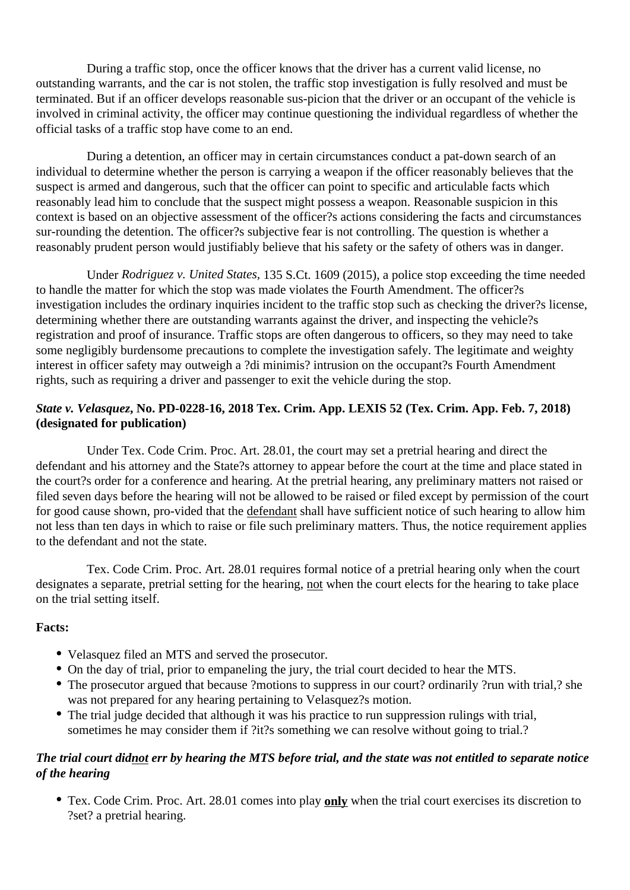During a traffic stop, once the officer knows that the driver has a current valid license, no outstanding warrants, and the car is not stolen, the traffic stop investigation is fully resolved and must be terminated. But if an officer develops reasonable sus-picion that the driver or an occupant of the vehicle is involved in criminal activity, the officer may continue questioning the individual regardless of whether the official tasks of a traffic stop have come to an end.

 During a detention, an officer may in certain circumstances conduct a pat-down search of an individual to determine whether the person is carrying a weapon if the officer reasonably believes that the suspect is armed and dangerous, such that the officer can point to specific and articulable facts which reasonably lead him to conclude that the suspect might possess a weapon. Reasonable suspicion in this context is based on an objective assessment of the officer?s actions considering the facts and circumstances sur-rounding the detention. The officer?s subjective fear is not controlling. The question is whether a reasonably prudent person would justifiably believe that his safety or the safety of others was in danger.

 Under *Rodriguez v. United States,* 135 S.Ct. 1609 (2015), a police stop exceeding the time needed to handle the matter for which the stop was made violates the Fourth Amendment. The officer?s investigation includes the ordinary inquiries incident to the traffic stop such as checking the driver?s license, determining whether there are outstanding warrants against the driver, and inspecting the vehicle?s registration and proof of insurance. Traffic stops are often dangerous to officers, so they may need to take some negligibly burdensome precautions to complete the investigation safely. The legitimate and weighty interest in officer safety may outweigh a ?di minimis? intrusion on the occupant?s Fourth Amendment rights, such as requiring a driver and passenger to exit the vehicle during the stop.

#### *State v. Velasquez***, No. PD-0228-16, 2018 Tex. Crim. App. LEXIS 52 (Tex. Crim. App. Feb. 7, 2018) (designated for publication)**

 Under Tex. Code Crim. Proc. Art. 28.01, the court may set a pretrial hearing and direct the defendant and his attorney and the State?s attorney to appear before the court at the time and place stated in the court?s order for a conference and hearing. At the pretrial hearing, any preliminary matters not raised or filed seven days before the hearing will not be allowed to be raised or filed except by permission of the court for good cause shown, pro-vided that the defendant shall have sufficient notice of such hearing to allow him not less than ten days in which to raise or file such preliminary matters. Thus, the notice requirement applies to the defendant and not the state.

 Tex. Code Crim. Proc. Art. 28.01 requires formal notice of a pretrial hearing only when the court designates a separate, pretrial setting for the hearing, not when the court elects for the hearing to take place on the trial setting itself.

#### **Facts:**

- Velasquez filed an MTS and served the prosecutor.
- On the day of trial, prior to empaneling the jury, the trial court decided to hear the MTS.
- The prosecutor argued that because ?motions to suppress in our court? ordinarily ?run with trial,? she was not prepared for any hearing pertaining to Velasquez?s motion.
- The trial judge decided that although it was his practice to run suppression rulings with trial, sometimes he may consider them if ?it?s something we can resolve without going to trial.?

#### *The trial court didnot err by hearing the MTS before trial, and the state was not entitled to separate notice of the hearing*

Tex. Code Crim. Proc. Art. 28.01 comes into play **only** when the trial court exercises its discretion to ?set? a pretrial hearing.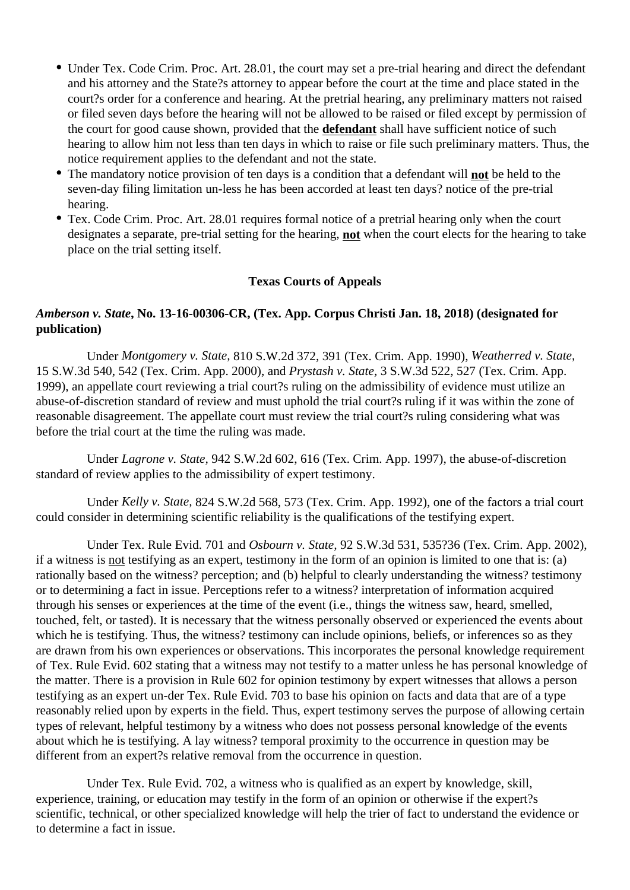- Under Tex. Code Crim. Proc. Art. 28.01, the court may set a pre-trial hearing and direct the defendant and his attorney and the State?s attorney to appear before the court at the time and place stated in the court?s order for a conference and hearing. At the pretrial hearing, any preliminary matters not raised or filed seven days before the hearing will not be allowed to be raised or filed except by permission of the court for good cause shown, provided that the **defendant** shall have sufficient notice of such hearing to allow him not less than ten days in which to raise or file such preliminary matters. Thus, the notice requirement applies to the defendant and not the state.
- The mandatory notice provision of ten days is a condition that a defendant will **not** be held to the seven-day filing limitation un-less he has been accorded at least ten days? notice of the pre-trial hearing.
- Tex. Code Crim. Proc. Art. 28.01 requires formal notice of a pretrial hearing only when the court designates a separate, pre-trial setting for the hearing, **not** when the court elects for the hearing to take place on the trial setting itself.

#### **Texas Courts of Appeals**

#### *Amberson v. State***, No. 13-16-00306-CR, (Tex. App. Corpus Christi Jan. 18, 2018) (designated for publication)**

 Under *Montgomery v. State,* 810 S.W.2d 372, 391 (Tex. Crim. App. 1990), *Weatherred v. State,* 15 S.W.3d 540, 542 (Tex. Crim. App. 2000), and *Prystash v. State,* 3 S.W.3d 522, 527 (Tex. Crim. App. 1999), an appellate court reviewing a trial court?s ruling on the admissibility of evidence must utilize an abuse-of-discretion standard of review and must uphold the trial court?s ruling if it was within the zone of reasonable disagreement. The appellate court must review the trial court?s ruling considering what was before the trial court at the time the ruling was made.

 Under *Lagrone v. State,* 942 S.W.2d 602, 616 (Tex. Crim. App. 1997), the abuse-of-discretion standard of review applies to the admissibility of expert testimony.

 Under *Kelly v. State,* 824 S.W.2d 568, 573 (Tex. Crim. App. 1992), one of the factors a trial court could consider in determining scientific reliability is the qualifications of the testifying expert.

 Under Tex. Rule Evid. 701 and *Osbourn v. State,* 92 S.W.3d 531, 535?36 (Tex. Crim. App. 2002), if a witness is not testifying as an expert, testimony in the form of an opinion is limited to one that is: (a) rationally based on the witness? perception; and (b) helpful to clearly understanding the witness? testimony or to determining a fact in issue. Perceptions refer to a witness? interpretation of information acquired through his senses or experiences at the time of the event (i.e., things the witness saw, heard, smelled, touched, felt, or tasted). It is necessary that the witness personally observed or experienced the events about which he is testifying. Thus, the witness? testimony can include opinions, beliefs, or inferences so as they are drawn from his own experiences or observations. This incorporates the personal knowledge requirement of Tex. Rule Evid. 602 stating that a witness may not testify to a matter unless he has personal knowledge of the matter. There is a provision in Rule 602 for opinion testimony by expert witnesses that allows a person testifying as an expert un-der Tex. Rule Evid. 703 to base his opinion on facts and data that are of a type reasonably relied upon by experts in the field. Thus, expert testimony serves the purpose of allowing certain types of relevant, helpful testimony by a witness who does not possess personal knowledge of the events about which he is testifying. A lay witness? temporal proximity to the occurrence in question may be different from an expert?s relative removal from the occurrence in question.

 Under Tex. Rule Evid. 702, a witness who is qualified as an expert by knowledge, skill, experience, training, or education may testify in the form of an opinion or otherwise if the expert?s scientific, technical, or other specialized knowledge will help the trier of fact to understand the evidence or to determine a fact in issue.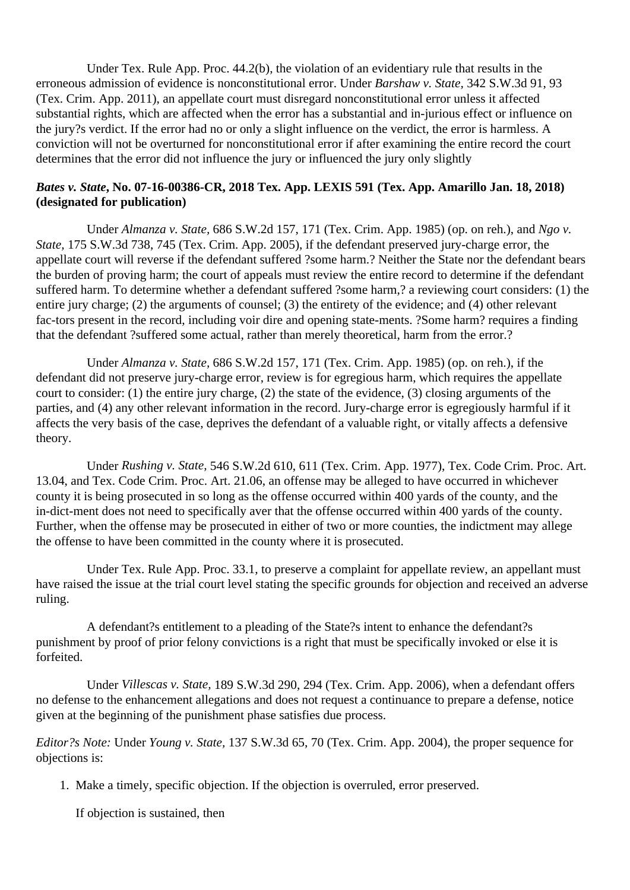Under Tex. Rule App. Proc. 44.2(b), the violation of an evidentiary rule that results in the erroneous admission of evidence is nonconstitutional error. Under *Barshaw v. State,* 342 S.W.3d 91, 93 (Tex. Crim. App. 2011), an appellate court must disregard nonconstitutional error unless it affected substantial rights, which are affected when the error has a substantial and in-jurious effect or influence on the jury?s verdict. If the error had no or only a slight influence on the verdict, the error is harmless. A conviction will not be overturned for nonconstitutional error if after examining the entire record the court determines that the error did not influence the jury or influenced the jury only slightly

#### *Bates v. State***, No. 07-16-00386-CR, 2018 Tex. App. LEXIS 591 (Tex. App. Amarillo Jan. 18, 2018) (designated for publication)**

 Under *Almanza v. State,* 686 S.W.2d 157, 171 (Tex. Crim. App. 1985) (op. on reh.), and *Ngo v. State,* 175 S.W.3d 738, 745 (Tex. Crim. App. 2005), if the defendant preserved jury-charge error, the appellate court will reverse if the defendant suffered ?some harm.? Neither the State nor the defendant bears the burden of proving harm; the court of appeals must review the entire record to determine if the defendant suffered harm. To determine whether a defendant suffered ?some harm,? a reviewing court considers: (1) the entire jury charge; (2) the arguments of counsel; (3) the entirety of the evidence; and (4) other relevant fac-tors present in the record, including voir dire and opening state-ments. ?Some harm? requires a finding that the defendant ?suffered some actual, rather than merely theoretical, harm from the error.?

 Under *Almanza v. State,* 686 S.W.2d 157, 171 (Tex. Crim. App. 1985) (op. on reh.), if the defendant did not preserve jury-charge error, review is for egregious harm, which requires the appellate court to consider: (1) the entire jury charge, (2) the state of the evidence, (3) closing arguments of the parties, and (4) any other relevant information in the record. Jury-charge error is egregiously harmful if it affects the very basis of the case, deprives the defendant of a valuable right, or vitally affects a defensive theory.

 Under *Rushing v. State,* 546 S.W.2d 610, 611 (Tex. Crim. App. 1977), Tex. Code Crim. Proc. Art. 13.04, and Tex. Code Crim. Proc. Art. 21.06, an offense may be alleged to have occurred in whichever county it is being prosecuted in so long as the offense occurred within 400 yards of the county, and the in-dict-ment does not need to specifically aver that the offense occurred within 400 yards of the county. Further, when the offense may be prosecuted in either of two or more counties, the indictment may allege the offense to have been committed in the county where it is prosecuted.

 Under Tex. Rule App. Proc. 33.1, to preserve a complaint for appellate review, an appellant must have raised the issue at the trial court level stating the specific grounds for objection and received an adverse ruling.

 A defendant?s entitlement to a pleading of the State?s intent to enhance the defendant?s punishment by proof of prior felony convictions is a right that must be specifically invoked or else it is forfeited.

 Under *Villescas v. State,* 189 S.W.3d 290, 294 (Tex. Crim. App. 2006), when a defendant offers no defense to the enhancement allegations and does not request a continuance to prepare a defense, notice given at the beginning of the punishment phase satisfies due process.

*Editor?s Note:* Under *Young v. State,* 137 S.W.3d 65, 70 (Tex. Crim. App. 2004), the proper sequence for objections is:

1. Make a timely, specific objection. If the objection is overruled, error preserved.

If objection is sustained, then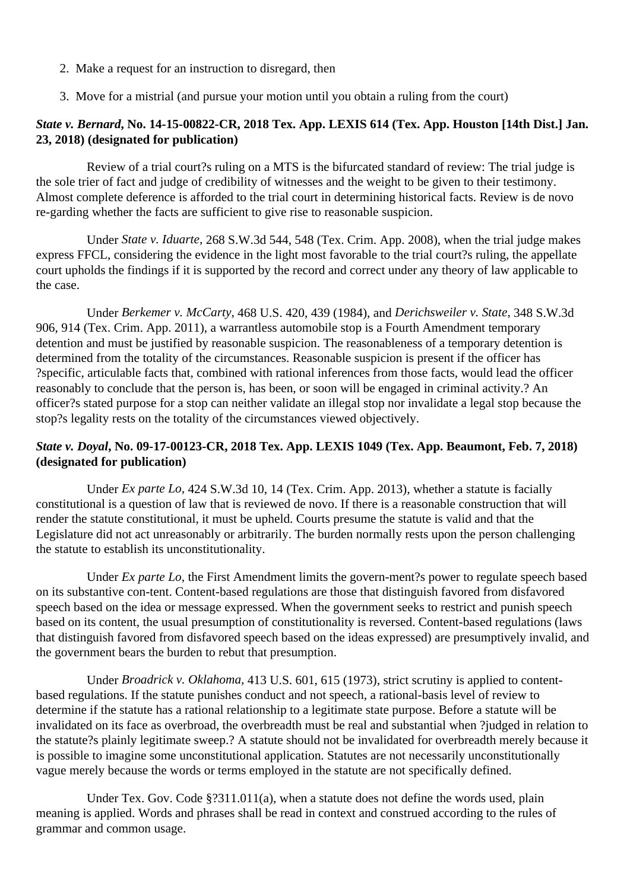- 2. Make a request for an instruction to disregard, then
- 3. Move for a mistrial (and pursue your motion until you obtain a ruling from the court)

## *State v. Bernard***, No. 14-15-00822-CR, 2018 Tex. App. LEXIS 614 (Tex. App. Houston [14th Dist.] Jan. 23, 2018) (designated for publication)**

 Review of a trial court?s ruling on a MTS is the bifurcated standard of review: The trial judge is the sole trier of fact and judge of credibility of witnesses and the weight to be given to their testimony. Almost complete deference is afforded to the trial court in determining historical facts. Review is de novo re-garding whether the facts are sufficient to give rise to reasonable suspicion.

 Under *State v. Iduarte,* 268 S.W.3d 544, 548 (Tex. Crim. App. 2008), when the trial judge makes express FFCL, considering the evidence in the light most favorable to the trial court?s ruling, the appellate court upholds the findings if it is supported by the record and correct under any theory of law applicable to the case.

 Under *Berkemer v. McCarty,* 468 U.S. 420, 439 (1984), and *Derichsweiler v. State,* 348 S.W.3d 906, 914 (Tex. Crim. App. 2011), a warrantless automobile stop is a Fourth Amendment temporary detention and must be justified by reasonable suspicion. The reasonableness of a temporary detention is determined from the totality of the circumstances. Reasonable suspicion is present if the officer has ?specific, articulable facts that, combined with rational inferences from those facts, would lead the officer reasonably to conclude that the person is, has been, or soon will be engaged in criminal activity.? An officer?s stated purpose for a stop can neither validate an illegal stop nor invalidate a legal stop because the stop?s legality rests on the totality of the circumstances viewed objectively.

#### *State v. Doyal***, No. 09-17-00123-CR, 2018 Tex. App. LEXIS 1049 (Tex. App. Beaumont, Feb. 7, 2018) (designated for publication)**

 Under *Ex parte Lo,* 424 S.W.3d 10, 14 (Tex. Crim. App. 2013), whether a statute is facially constitutional is a question of law that is reviewed de novo. If there is a reasonable construction that will render the statute constitutional, it must be upheld. Courts presume the statute is valid and that the Legislature did not act unreasonably or arbitrarily. The burden normally rests upon the person challenging the statute to establish its unconstitutionality.

 Under *Ex parte Lo,* the First Amendment limits the govern-ment?s power to regulate speech based on its substantive con-tent. Content-based regulations are those that distinguish favored from disfavored speech based on the idea or message expressed. When the government seeks to restrict and punish speech based on its content, the usual presumption of constitutionality is reversed. Content-based regulations (laws that distinguish favored from disfavored speech based on the ideas expressed) are presumptively invalid, and the government bears the burden to rebut that presumption.

 Under *Broadrick v. Oklahoma,* 413 U.S. 601, 615 (1973), strict scrutiny is applied to contentbased regulations. If the statute punishes conduct and not speech, a rational-basis level of review to determine if the statute has a rational relationship to a legitimate state purpose. Before a statute will be invalidated on its face as overbroad, the overbreadth must be real and substantial when ?judged in relation to the statute?s plainly legitimate sweep.? A statute should not be invalidated for overbreadth merely because it is possible to imagine some unconstitutional application. Statutes are not necessarily unconstitutionally vague merely because the words or terms employed in the statute are not specifically defined.

Under Tex. Gov. Code §?311.011(a), when a statute does not define the words used, plain meaning is applied. Words and phrases shall be read in context and construed according to the rules of grammar and common usage.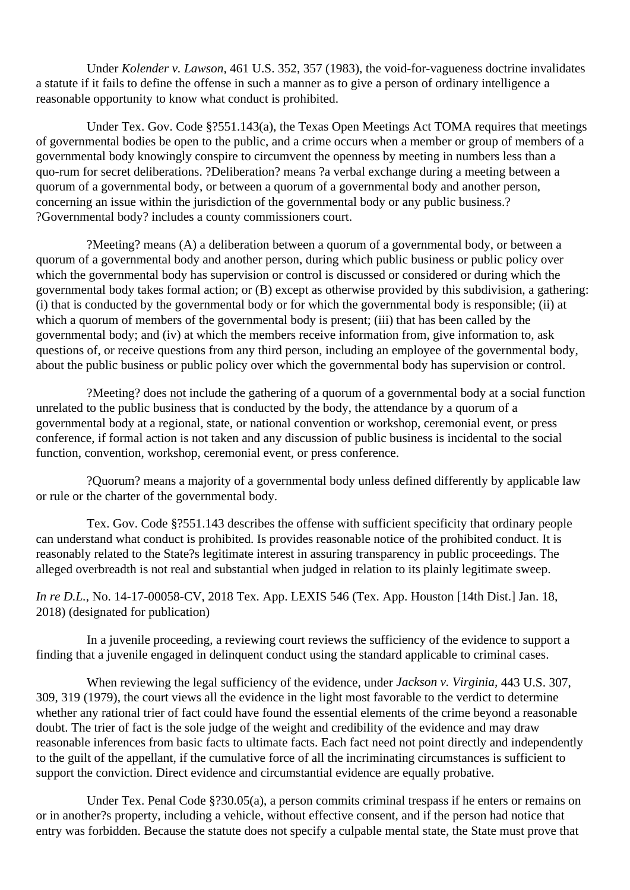Under *Kolender v. Lawson,* 461 U.S. 352, 357 (1983), the void-for-vagueness doctrine invalidates a statute if it fails to define the offense in such a manner as to give a person of ordinary intelligence a reasonable opportunity to know what conduct is prohibited.

 Under Tex. Gov. Code §?551.143(a), the Texas Open Meetings Act TOMA requires that meetings of governmental bodies be open to the public, and a crime occurs when a member or group of members of a governmental body knowingly conspire to circumvent the openness by meeting in numbers less than a quo-rum for secret deliberations. ?Deliberation? means ?a verbal exchange during a meeting between a quorum of a governmental body, or between a quorum of a governmental body and another person, concerning an issue within the jurisdiction of the governmental body or any public business.? ?Governmental body? includes a county commissioners court.

 ?Meeting? means (A) a deliberation between a quorum of a governmental body, or between a quorum of a governmental body and another person, during which public business or public policy over which the governmental body has supervision or control is discussed or considered or during which the governmental body takes formal action; or (B) except as otherwise provided by this subdivision, a gathering: (i) that is conducted by the governmental body or for which the governmental body is responsible; (ii) at which a quorum of members of the governmental body is present; (iii) that has been called by the governmental body; and (iv) at which the members receive information from, give information to, ask questions of, or receive questions from any third person, including an employee of the governmental body, about the public business or public policy over which the governmental body has supervision or control.

 ?Meeting? does not include the gathering of a quorum of a governmental body at a social function unrelated to the public business that is conducted by the body, the attendance by a quorum of a governmental body at a regional, state, or national convention or workshop, ceremonial event, or press conference, if formal action is not taken and any discussion of public business is incidental to the social function, convention, workshop, ceremonial event, or press conference.

 ?Quorum? means a majority of a governmental body unless defined differently by applicable law or rule or the charter of the governmental body.

 Tex. Gov. Code §?551.143 describes the offense with sufficient specificity that ordinary people can understand what conduct is prohibited. Is provides reasonable notice of the prohibited conduct. It is reasonably related to the State?s legitimate interest in assuring transparency in public proceedings. The alleged overbreadth is not real and substantial when judged in relation to its plainly legitimate sweep.

*In re D.L.*, No. 14-17-00058-CV, 2018 Tex. App. LEXIS 546 (Tex. App. Houston [14th Dist.] Jan. 18, 2018) (designated for publication)

 In a juvenile proceeding, a reviewing court reviews the sufficiency of the evidence to support a finding that a juvenile engaged in delinquent conduct using the standard applicable to criminal cases.

 When reviewing the legal sufficiency of the evidence, under *Jackson v. Virginia,* 443 U.S. 307, 309, 319 (1979), the court views all the evidence in the light most favorable to the verdict to determine whether any rational trier of fact could have found the essential elements of the crime beyond a reasonable doubt. The trier of fact is the sole judge of the weight and credibility of the evidence and may draw reasonable inferences from basic facts to ultimate facts. Each fact need not point directly and independently to the guilt of the appellant, if the cumulative force of all the incriminating circumstances is sufficient to support the conviction. Direct evidence and circumstantial evidence are equally probative.

 Under Tex. Penal Code §?30.05(a), a person commits criminal trespass if he enters or remains on or in another?s property, including a vehicle, without effective consent, and if the person had notice that entry was forbidden. Because the statute does not specify a culpable mental state, the State must prove that